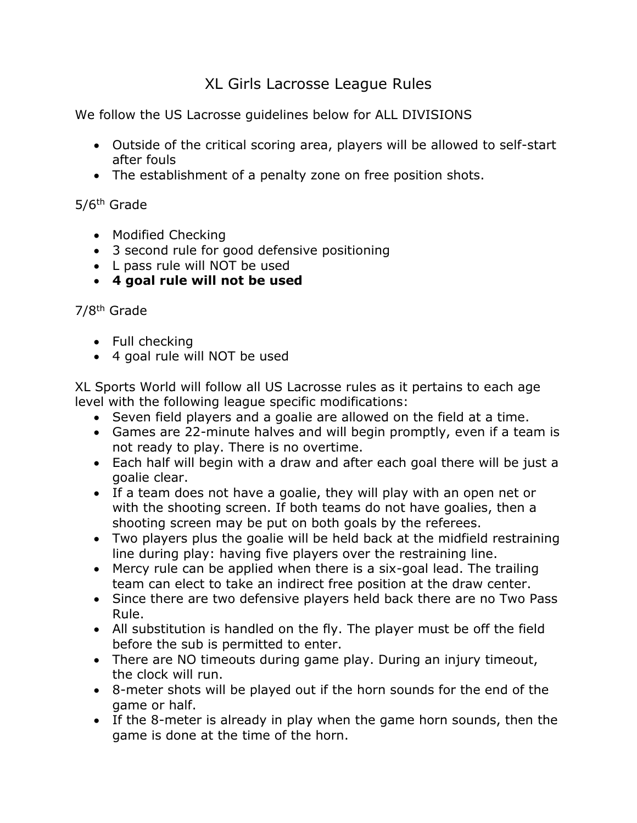## XL Girls Lacrosse League Rules

We follow the US Lacrosse guidelines below for ALL DIVISIONS

- Outside of the critical scoring area, players will be allowed to self-start after fouls
- The establishment of a penalty zone on free position shots.

5/6th Grade

- Modified Checking
- 3 second rule for good defensive positioning
- L pass rule will NOT be used
- **4 goal rule will not be used**

## 7/8th Grade

- Full checking
- 4 goal rule will NOT be used

XL Sports World will follow all US Lacrosse rules as it pertains to each age level with the following league specific modifications:

- Seven field players and a goalie are allowed on the field at a time.
- Games are 22-minute halves and will begin promptly, even if a team is not ready to play. There is no overtime.
- Each half will begin with a draw and after each goal there will be just a goalie clear.
- If a team does not have a goalie, they will play with an open net or with the shooting screen. If both teams do not have goalies, then a shooting screen may be put on both goals by the referees.
- Two players plus the goalie will be held back at the midfield restraining line during play: having five players over the restraining line.
- Mercy rule can be applied when there is a six-goal lead. The trailing team can elect to take an indirect free position at the draw center.
- Since there are two defensive players held back there are no Two Pass Rule.
- All substitution is handled on the fly. The player must be off the field before the sub is permitted to enter.
- There are NO timeouts during game play. During an injury timeout, the clock will run.
- 8-meter shots will be played out if the horn sounds for the end of the game or half.
- If the 8-meter is already in play when the game horn sounds, then the game is done at the time of the horn.